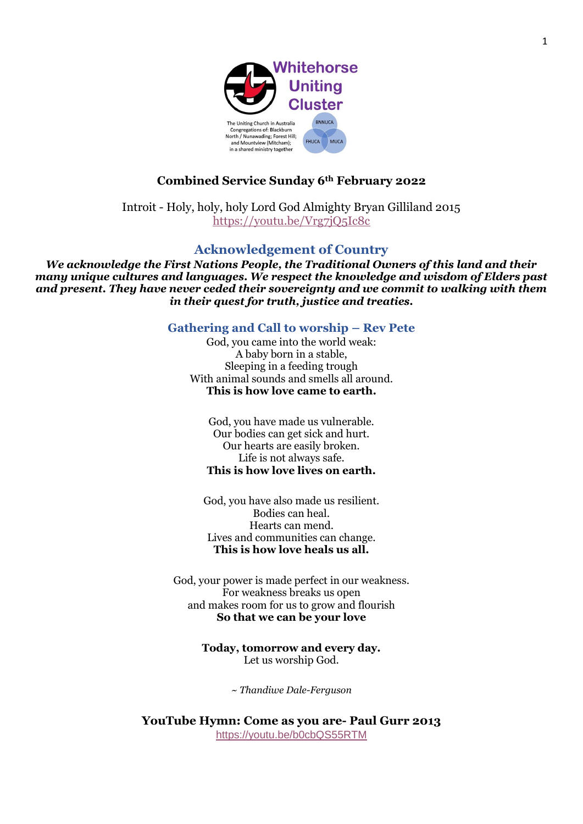

# **Combined Service Sunday 6th February 2022**

Introit - Holy, holy, holy Lord God Almighty Bryan Gilliland 2015 <https://youtu.be/Vrg7jQ5Ic8c>

## **Acknowledgement of Country**

*We acknowledge the First Nations People, the Traditional Owners of this land and their many unique cultures and languages. We respect the knowledge and wisdom of Elders past and present. They have never ceded their sovereignty and we commit to walking with them in their quest for truth, justice and treaties.*

**Gathering and Call to worship – Rev Pete**

God, you came into the world weak: A baby born in a stable, Sleeping in a feeding trough With animal sounds and smells all around. **This is how love came to earth.**

God, you have made us vulnerable. Our bodies can get sick and hurt. Our hearts are easily broken. Life is not always safe. **This is how love lives on earth.**

God, you have also made us resilient. Bodies can heal. Hearts can mend. Lives and communities can change. **This is how love heals us all.**

God, your power is made perfect in our weakness. For weakness breaks us open and makes room for us to grow and flourish **So that we can be your love**

> **Today, tomorrow and every day.** Let us worship God.

> > *~ Thandiwe Dale-Ferguson*

**YouTube Hymn: Come as you are- Paul Gurr 2013** <https://youtu.be/b0cbQS55RTM>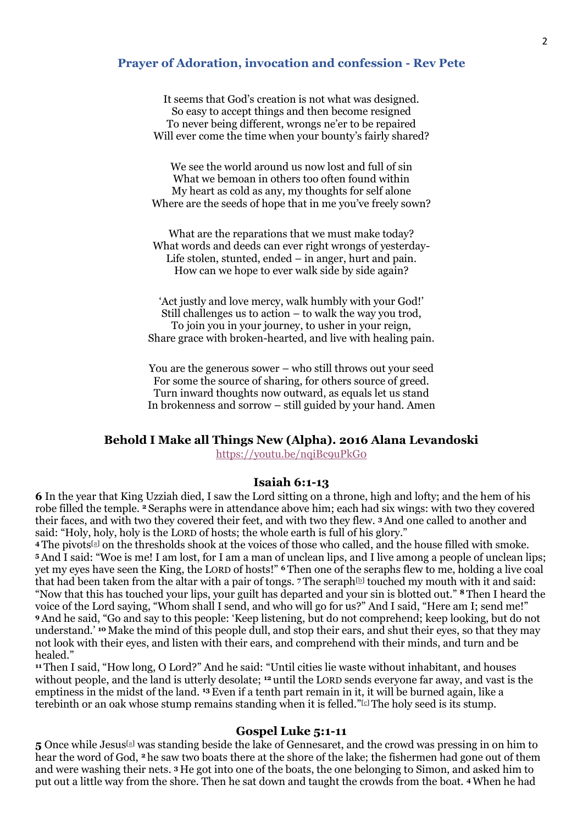#### **Prayer of Adoration, invocation and confession - Rev Pete**

It seems that God's creation is not what was designed. So easy to accept things and then become resigned To never being different, wrongs ne'er to be repaired Will ever come the time when your bounty's fairly shared?

We see the world around us now lost and full of sin What we bemoan in others too often found within My heart as cold as any, my thoughts for self alone Where are the seeds of hope that in me you've freely sown?

What are the reparations that we must make today? What words and deeds can ever right wrongs of yesterday-Life stolen, stunted, ended – in anger, hurt and pain. How can we hope to ever walk side by side again?

'Act justly and love mercy, walk humbly with your God!' Still challenges us to action – to walk the way you trod, To join you in your journey, to usher in your reign, Share grace with broken-hearted, and live with healing pain.

You are the generous sower – who still throws out your seed For some the source of sharing, for others source of greed. Turn inward thoughts now outward, as equals let us stand In brokenness and sorrow – still guided by your hand. Amen

#### **Behold I Make all Things New (Alpha). 2016 Alana Levandoski**

<https://youtu.be/nqiBc9uPkG0>

#### **Isaiah 6:1-13**

**6** In the year that King Uzziah died, I saw the Lord sitting on a throne, high and lofty; and the hem of his robe filled the temple. **<sup>2</sup>** Seraphs were in attendance above him; each had six wings: with two they covered their faces, and with two they covered their feet, and with two they flew. **<sup>3</sup>**And one called to another and said: "Holy, holy, holy is the LORD of hosts; the whole earth is full of his glory."

**<sup>4</sup>** The pivots[\[a\]](https://www.biblegateway.com/passage/?search=Isaiah+6%3A1-13&version=NRSV#fen-NRSV-17774a) on the thresholds shook at the voices of those who called, and the house filled with smoke. **<sup>5</sup>**And I said: "Woe is me! I am lost, for I am a man of unclean lips, and I live among a people of unclean lips; yet my eyes have seen the King, the LORD of hosts!" **<sup>6</sup>** Then one of the seraphs flew to me, holding a live coal that had been taken from the altar with a pair of tongs. 7 The seraph<sup>[\[b\]](https://www.biblegateway.com/passage/?search=Isaiah+6%3A1-13&version=NRSV#fen-NRSV-17777b)</sup> touched my mouth with it and said: "Now that this has touched your lips, your guilt has departed and your sin is blotted out." **<sup>8</sup>** Then I heard the voice of the Lord saying, "Whom shall I send, and who will go for us?" And I said, "Here am I; send me!" **<sup>9</sup>**And he said, "Go and say to this people: 'Keep listening, but do not comprehend; keep looking, but do not understand.' **<sup>10</sup>** Make the mind of this people dull, and stop their ears, and shut their eyes, so that they may not look with their eyes, and listen with their ears, and comprehend with their minds, and turn and be healed."

**<sup>11</sup>** Then I said, "How long, O Lord?" And he said: "Until cities lie waste without inhabitant, and houses without people, and the land is utterly desolate; **<sup>12</sup>** until the LORD sends everyone far away, and vast is the emptiness in the midst of the land. **<sup>13</sup>**Even if a tenth part remain in it, it will be burned again, like a terebinth or an oak whose stump remains standing when it is felled."<sup>[\[c\]](https://www.biblegateway.com/passage/?search=Isaiah+6%3A1-13&version=NRSV#fen-NRSV-17783c)</sup> The holy seed is its stump.

#### **Gospel Luke 5:1-11**

**5** Once while Jesus[\[a\]](https://www.biblegateway.com/passage/?search=Luke+5%3A1-11&version=NRSV#fen-NRSV-25101a) was standing beside the lake of Gennesaret, and the crowd was pressing in on him to hear the word of God, **<sup>2</sup>** he saw two boats there at the shore of the lake; the fishermen had gone out of them and were washing their nets. **<sup>3</sup>** He got into one of the boats, the one belonging to Simon, and asked him to put out a little way from the shore. Then he sat down and taught the crowds from the boat. **<sup>4</sup>**When he had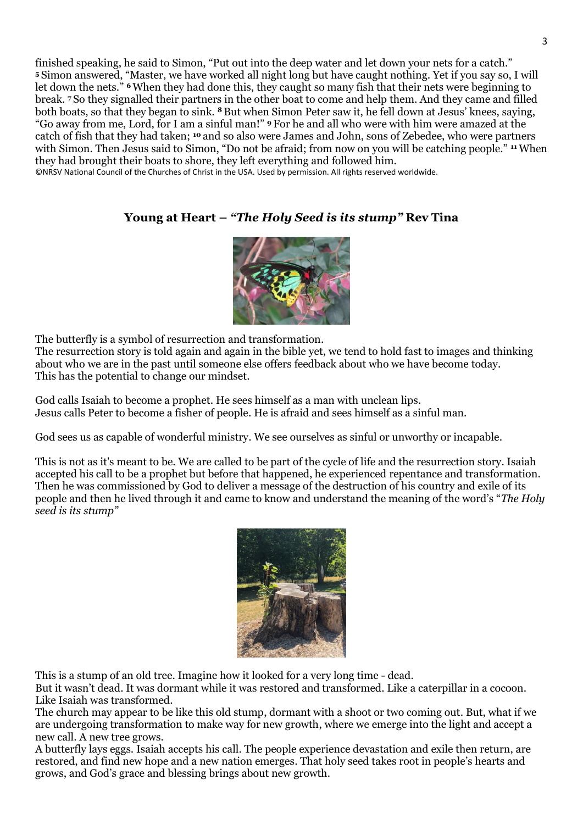finished speaking, he said to Simon, "Put out into the deep water and let down your nets for a catch." **<sup>5</sup>** Simon answered, "Master, we have worked all night long but have caught nothing. Yet if you say so, I will let down the nets." **<sup>6</sup>**When they had done this, they caught so many fish that their nets were beginning to break. **<sup>7</sup>** So they signalled their partners in the other boat to come and help them. And they came and filled both boats, so that they began to sink. **<sup>8</sup>** But when Simon Peter saw it, he fell down at Jesus' knees, saying, "Go away from me, Lord, for I am a sinful man!" **<sup>9</sup>** For he and all who were with him were amazed at the catch of fish that they had taken; **<sup>10</sup>** and so also were James and John, sons of Zebedee, who were partners with Simon. Then Jesus said to Simon, "Do not be afraid; from now on you will be catching people." <sup>11</sup> When they had brought their boats to shore, they left everything and followed him.

©NRSV National Council of the Churches of Christ in the USA. Used by permission. All rights reserved worldwide.

# **Young at Heart –** *"The Holy Seed is its stump"* **Rev Tina**



The butterfly is a symbol of resurrection and transformation.

The resurrection story is told again and again in the bible yet, we tend to hold fast to images and thinking about who we are in the past until someone else offers feedback about who we have become today. This has the potential to change our mindset.

God calls Isaiah to become a prophet. He sees himself as a man with unclean lips. Jesus calls Peter to become a fisher of people. He is afraid and sees himself as a sinful man.

God sees us as capable of wonderful ministry. We see ourselves as sinful or unworthy or incapable.

This is not as it's meant to be. We are called to be part of the cycle of life and the resurrection story. Isaiah accepted his call to be a prophet but before that happened, he experienced repentance and transformation. Then he was commissioned by God to deliver a message of the destruction of his country and exile of its people and then he lived through it and came to know and understand the meaning of the word's "*The Holy seed is its stump"*



This is a stump of an old tree. Imagine how it looked for a very long time - dead.

But it wasn't dead. It was dormant while it was restored and transformed. Like a caterpillar in a cocoon. Like Isaiah was transformed.

The church may appear to be like this old stump, dormant with a shoot or two coming out. But, what if we are undergoing transformation to make way for new growth, where we emerge into the light and accept a new call. A new tree grows.

A butterfly lays eggs. Isaiah accepts his call. The people experience devastation and exile then return, are restored, and find new hope and a new nation emerges. That holy seed takes root in people's hearts and grows, and God's grace and blessing brings about new growth.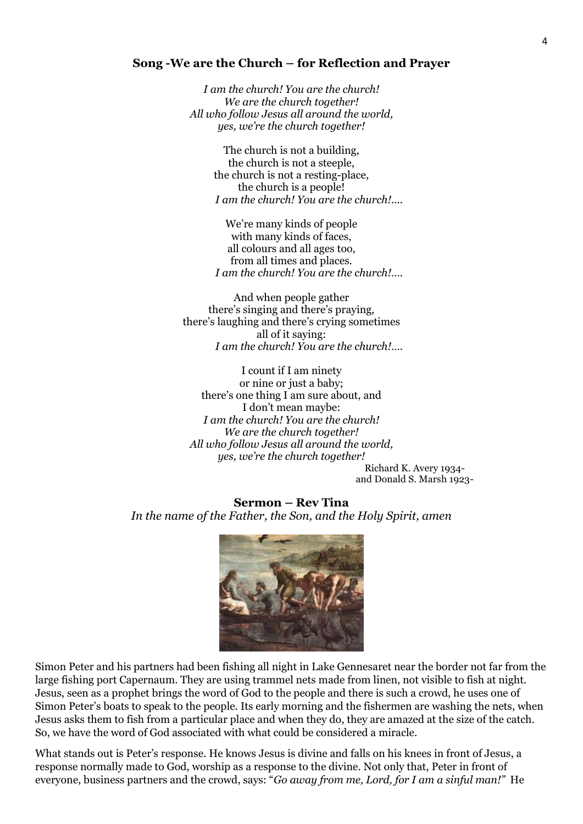#### **Song -We are the Church – for Reflection and Prayer**

*I am the church! You are the church! We are the church together! All who follow Jesus all around the world, yes, we're the church together!*

> The church is not a building, the church is not a steeple, the church is not a resting-place, the church is a people! *I am the church! You are the church!....*

> We're many kinds of people with many kinds of faces, all colours and all ages too, from all times and places. *I am the church! You are the church!….*

And when people gather there's singing and there's praying, there's laughing and there's crying sometimes all of it saying: *I am the church! You are the church!….*

I count if I am ninety or nine or just a baby; there's one thing I am sure about, and I don't mean maybe: *I am the church! You are the church! We are the church together! All who follow Jesus all around the world, yes, we're the church together!*

Richard K. Avery 1934 and Donald S. Marsh 1923-

**Sermon – Rev Tina** *In the name of the Father, the Son, and the Holy Spirit, amen* 



Simon Peter and his partners had been fishing all night in Lake Gennesaret near the border not far from the large fishing port Capernaum. They are using trammel nets made from linen, not visible to fish at night. Jesus, seen as a prophet brings the word of God to the people and there is such a crowd, he uses one of Simon Peter's boats to speak to the people. Its early morning and the fishermen are washing the nets, when Jesus asks them to fish from a particular place and when they do, they are amazed at the size of the catch. So, we have the word of God associated with what could be considered a miracle.

What stands out is Peter's response. He knows Jesus is divine and falls on his knees in front of Jesus, a response normally made to God, worship as a response to the divine. Not only that, Peter in front of everyone, business partners and the crowd, says: "*Go away from me, Lord, for I am a sinful man!"* He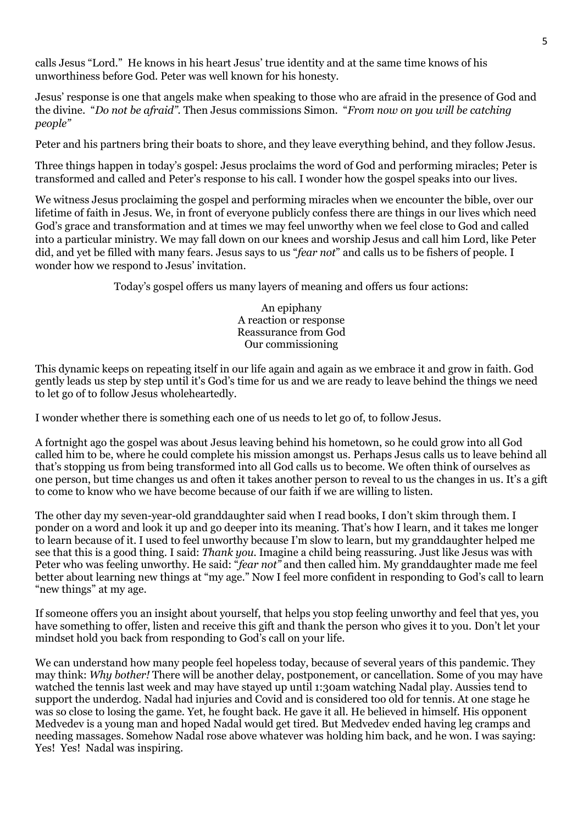calls Jesus "Lord." He knows in his heart Jesus' true identity and at the same time knows of his unworthiness before God. Peter was well known for his honesty.

Jesus' response is one that angels make when speaking to those who are afraid in the presence of God and the divine. "*Do not be afraid".* Then Jesus commissions Simon. "*From now on you will be catching people"* 

Peter and his partners bring their boats to shore, and they leave everything behind, and they follow Jesus.

Three things happen in today's gospel: Jesus proclaims the word of God and performing miracles; Peter is transformed and called and Peter's response to his call. I wonder how the gospel speaks into our lives.

We witness Jesus proclaiming the gospel and performing miracles when we encounter the bible, over our lifetime of faith in Jesus. We, in front of everyone publicly confess there are things in our lives which need God's grace and transformation and at times we may feel unworthy when we feel close to God and called into a particular ministry. We may fall down on our knees and worship Jesus and call him Lord, like Peter did, and yet be filled with many fears. Jesus says to us "*fear not*" and calls us to be fishers of people. I wonder how we respond to Jesus' invitation.

Today's gospel offers us many layers of meaning and offers us four actions:

An epiphany A reaction or response Reassurance from God Our commissioning

This dynamic keeps on repeating itself in our life again and again as we embrace it and grow in faith. God gently leads us step by step until it's God's time for us and we are ready to leave behind the things we need to let go of to follow Jesus wholeheartedly.

I wonder whether there is something each one of us needs to let go of, to follow Jesus.

A fortnight ago the gospel was about Jesus leaving behind his hometown, so he could grow into all God called him to be, where he could complete his mission amongst us. Perhaps Jesus calls us to leave behind all that's stopping us from being transformed into all God calls us to become. We often think of ourselves as one person, but time changes us and often it takes another person to reveal to us the changes in us. It's a gift to come to know who we have become because of our faith if we are willing to listen.

The other day my seven-year-old granddaughter said when I read books, I don't skim through them. I ponder on a word and look it up and go deeper into its meaning. That's how I learn, and it takes me longer to learn because of it. I used to feel unworthy because I'm slow to learn, but my granddaughter helped me see that this is a good thing. I said: *Thank you.* Imagine a child being reassuring. Just like Jesus was with Peter who was feeling unworthy. He said: "*fear not"* and then called him. My granddaughter made me feel better about learning new things at "my age." Now I feel more confident in responding to God's call to learn "new things" at my age.

If someone offers you an insight about yourself, that helps you stop feeling unworthy and feel that yes, you have something to offer, listen and receive this gift and thank the person who gives it to you. Don't let your mindset hold you back from responding to God's call on your life.

We can understand how many people feel hopeless today, because of several years of this pandemic. They may think: *Why bother!* There will be another delay, postponement, or cancellation. Some of you may have watched the tennis last week and may have stayed up until 1:30am watching Nadal play. Aussies tend to support the underdog. Nadal had injuries and Covid and is considered too old for tennis. At one stage he was so close to losing the game. Yet, he fought back. He gave it all. He believed in himself. His opponent Medvedev is a young man and hoped Nadal would get tired. But Medvedev ended having leg cramps and needing massages. Somehow Nadal rose above whatever was holding him back, and he won. I was saying: Yes! Yes! Nadal was inspiring.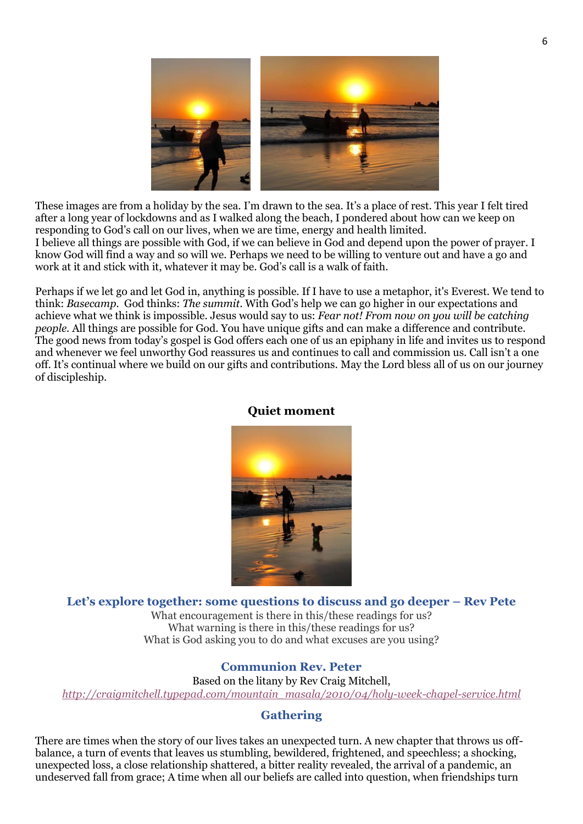

These images are from a holiday by the sea. I'm drawn to the sea. It's a place of rest. This year I felt tired after a long year of lockdowns and as I walked along the beach, I pondered about how can we keep on responding to God's call on our lives, when we are time, energy and health limited. I believe all things are possible with God, if we can believe in God and depend upon the power of prayer. I know God will find a way and so will we. Perhaps we need to be willing to venture out and have a go and work at it and stick with it, whatever it may be. God's call is a walk of faith.

Perhaps if we let go and let God in, anything is possible. If I have to use a metaphor, it's Everest. We tend to think: *Basecamp.* God thinks: *The summit*. With God's help we can go higher in our expectations and achieve what we think is impossible. Jesus would say to us: *Fear not! From now on you will be catching people.* All things are possible for God. You have unique gifts and can make a difference and contribute. The good news from today's gospel is God offers each one of us an epiphany in life and invites us to respond and whenever we feel unworthy God reassures us and continues to call and commission us. Call isn't a one off. It's continual where we build on our gifts and contributions. May the Lord bless all of us on our journey of discipleship.



#### **Quiet moment**

#### **Let's explore together: some questions to discuss and go deeper – Rev Pete**

What encouragement is there in this/these readings for us? What warning is there in this/these readings for us? What is God asking you to do and what excuses are you using?

#### **Communion Rev. Peter**

Based on the litany by Rev Craig Mitchell, *[http://craigmitchell.typepad.com/mountain\\_masala/2010/04/holy-week-chapel-service.html](http://craigmitchell.typepad.com/mountain_masala/2010/04/holy-week-chapel-service.html)*

#### **Gathering**

There are times when the story of our lives takes an unexpected turn. A new chapter that throws us offbalance, a turn of events that leaves us stumbling, bewildered, frightened, and speechless; a shocking, unexpected loss, a close relationship shattered, a bitter reality revealed, the arrival of a pandemic, an undeserved fall from grace; A time when all our beliefs are called into question, when friendships turn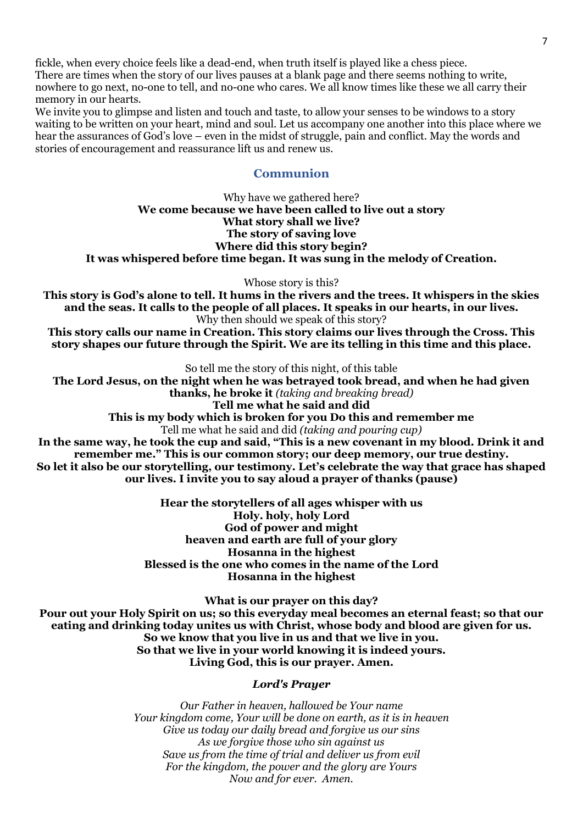fickle, when every choice feels like a dead-end, when truth itself is played like a chess piece. There are times when the story of our lives pauses at a blank page and there seems nothing to write, nowhere to go next, no-one to tell, and no-one who cares. We all know times like these we all carry their memory in our hearts.

We invite you to glimpse and listen and touch and taste, to allow your senses to be windows to a story waiting to be written on your heart, mind and soul. Let us accompany one another into this place where we hear the assurances of God's love – even in the midst of struggle, pain and conflict. May the words and stories of encouragement and reassurance lift us and renew us.

### **Communion**

Why have we gathered here? **We come because we have been called to live out a story What story shall we live? The story of saving love Where did this story begin? It was whispered before time began. It was sung in the melody of Creation.**

Whose story is this?

**This story is God's alone to tell. It hums in the rivers and the trees. It whispers in the skies and the seas. It calls to the people of all places. It speaks in our hearts, in our lives.** Why then should we speak of this story?

**This story calls our name in Creation. This story claims our lives through the Cross. This story shapes our future through the Spirit. We are its telling in this time and this place.**

So tell me the story of this night, of this table

**The Lord Jesus, on the night when he was betrayed took bread, and when he had given thanks, he broke it** *(taking and breaking bread)*

**Tell me what he said and did This is my body which is broken for you Do this and remember me** Tell me what he said and did *(taking and pouring cup)*

**In the same way, he took the cup and said, "This is a new covenant in my blood. Drink it and remember me." This is our common story; our deep memory, our true destiny. So let it also be our storytelling, our testimony. Let's celebrate the way that grace has shaped our lives. I invite you to say aloud a prayer of thanks (pause)**

> **Hear the storytellers of all ages whisper with us Holy. holy, holy Lord God of power and might heaven and earth are full of your glory Hosanna in the highest Blessed is the one who comes in the name of the Lord Hosanna in the highest**

**What is our prayer on this day? Pour out your Holy Spirit on us; so this everyday meal becomes an eternal feast; so that our eating and drinking today unites us with Christ, whose body and blood are given for us. So we know that you live in us and that we live in you. So that we live in your world knowing it is indeed yours. Living God, this is our prayer. Amen.**

#### *Lord's Prayer*

*Our Father in heaven, hallowed be Your name Your kingdom come, Your will be done on earth, as it is in heaven Give us today our daily bread and forgive us our sins As we forgive those who sin against us Save us from the time of trial and deliver us from evil For the kingdom, the power and the glory are Yours Now and for ever. Amen.*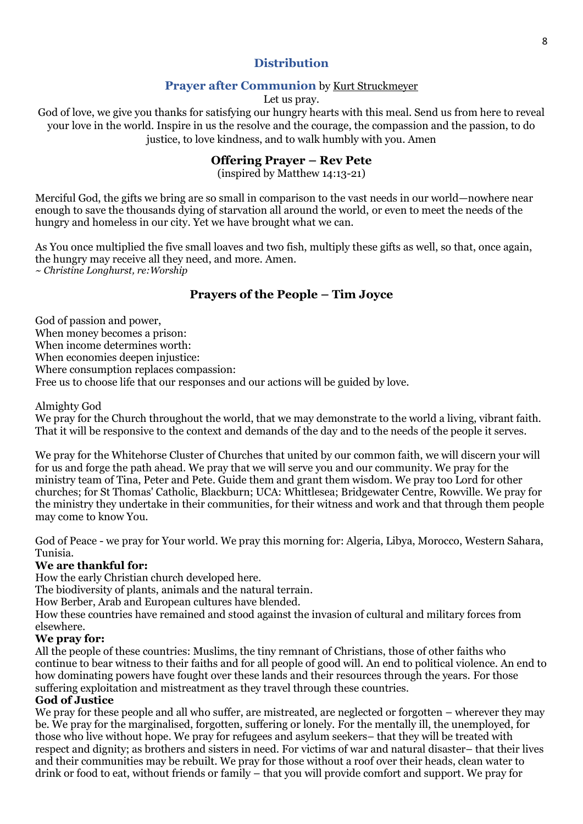# **Distribution**

## **Prayer after Communion** by [Kurt Struckmeyer](http://progressivechristianity.org/resources/the-words-of-the-eucharist/)

Let us pray.

God of love, we give you thanks for satisfying our hungry hearts with this meal. Send us from here to reveal your love in the world. Inspire in us the resolve and the courage, the compassion and the passion, to do justice, to love kindness, and to walk humbly with you. Amen

### **Offering Prayer – Rev Pete**

(inspired by Matthew 14:13-21)

Merciful God, the gifts we bring are so small in comparison to the vast needs in our world—nowhere near enough to save the thousands dying of starvation all around the world, or even to meet the needs of the hungry and homeless in our city. Yet we have brought what we can.

As You once multiplied the five small loaves and two fish, multiply these gifts as well, so that, once again, the hungry may receive all they need, and more. Amen. ~ *Christine Longhurst, re:Worship*

# **Prayers of the People – Tim Joyce**

God of passion and power, When money becomes a prison: When income determines worth: When economies deepen injustice: Where consumption replaces compassion:

Free us to choose life that our responses and our actions will be guided by love.

### Almighty God

We pray for the Church throughout the world, that we may demonstrate to the world a living, vibrant faith. That it will be responsive to the context and demands of the day and to the needs of the people it serves.

We pray for the Whitehorse Cluster of Churches that united by our common faith, we will discern your will for us and forge the path ahead. We pray that we will serve you and our community. We pray for the ministry team of Tina, Peter and Pete. Guide them and grant them wisdom. We pray too Lord for other churches; for St Thomas' Catholic, Blackburn; UCA: Whittlesea; Bridgewater Centre, Rowville. We pray for the ministry they undertake in their communities, for their witness and work and that through them people may come to know You.

God of Peace - we pray for Your world. We pray this morning for: Algeria, Libya, Morocco, Western Sahara, Tunisia.

#### **We are thankful for:**

How the early Christian church developed here.

The biodiversity of plants, animals and the natural terrain.

How Berber, Arab and European cultures have blended.

How these countries have remained and stood against the invasion of cultural and military forces from elsewhere.

#### **We pray for:**

All the people of these countries: Muslims, the tiny remnant of Christians, those of other faiths who continue to bear witness to their faiths and for all people of good will. An end to political violence. An end to how dominating powers have fought over these lands and their resources through the years. For those suffering exploitation and mistreatment as they travel through these countries.

#### **God of Justice**

We pray for these people and all who suffer, are mistreated, are neglected or forgotten – wherever they may be. We pray for the marginalised, forgotten, suffering or lonely. For the mentally ill, the unemployed, for those who live without hope. We pray for refugees and asylum seekers– that they will be treated with respect and dignity; as brothers and sisters in need. For victims of war and natural disaster– that their lives and their communities may be rebuilt. We pray for those without a roof over their heads, clean water to drink or food to eat, without friends or family – that you will provide comfort and support. We pray for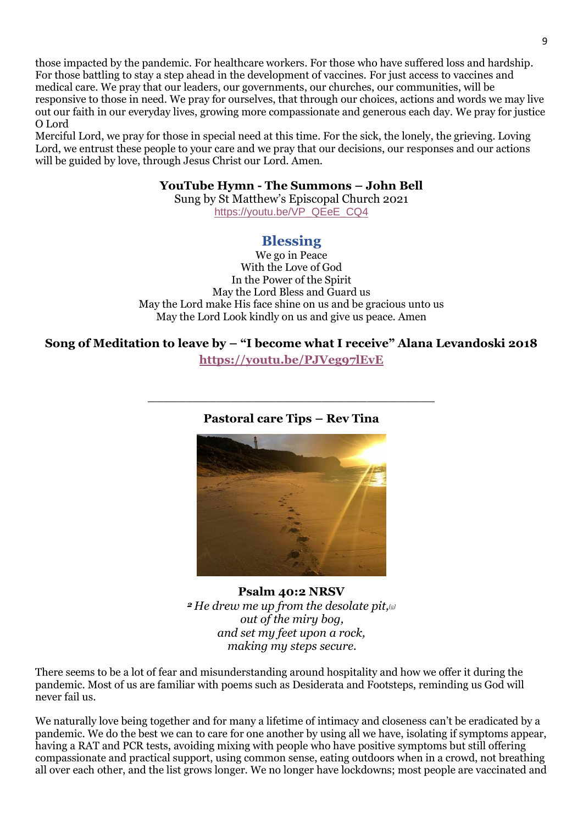those impacted by the pandemic. For healthcare workers. For those who have suffered loss and hardship. For those battling to stay a step ahead in the development of vaccines. For just access to vaccines and medical care. We pray that our leaders, our governments, our churches, our communities, will be responsive to those in need. We pray for ourselves, that through our choices, actions and words we may live out our faith in our everyday lives, growing more compassionate and generous each day. We pray for justice O Lord

Merciful Lord, we pray for those in special need at this time. For the sick, the lonely, the grieving. Loving Lord, we entrust these people to your care and we pray that our decisions, our responses and our actions will be guided by love, through Jesus Christ our Lord. Amen.

### **YouTube Hymn - The Summons – John Bell**

Sung by St Matthew's Episcopal Church 2021 [https://youtu.be/VP\\_QEeE\\_CQ4](https://youtu.be/VP_QEeE_CQ4)

# **Blessing**

We go in Peace With the Love of God In the Power of the Spirit May the Lord Bless and Guard us May the Lord make His face shine on us and be gracious unto us May the Lord Look kindly on us and give us peace. Amen

**Song of Meditation to leave by – "I become what I receive" Alana Levandoski 2018 <https://youtu.be/PJVeg97lEvE>**

## **Pastoral care Tips – Rev Tina**

\_\_\_\_\_\_\_\_\_\_\_\_\_\_\_\_\_\_\_\_\_\_\_\_\_\_\_\_\_\_\_\_\_\_\_\_\_\_



**Psalm 40:2 NRSV** *<sup>2</sup> He drew me up from the desolate pit,[\[a\]](https://www.biblegateway.com/passage/?search=psalm++40.2&version=NRSV#fen-NRSV-14528a) out of the miry bog, and set my feet upon a rock, making my steps secure.*

There seems to be a lot of fear and misunderstanding around hospitality and how we offer it during the pandemic. Most of us are familiar with poems such as Desiderata and Footsteps, reminding us God will never fail us.

We naturally love being together and for many a lifetime of intimacy and closeness can't be eradicated by a pandemic. We do the best we can to care for one another by using all we have, isolating if symptoms appear, having a RAT and PCR tests, avoiding mixing with people who have positive symptoms but still offering compassionate and practical support, using common sense, eating outdoors when in a crowd, not breathing all over each other, and the list grows longer. We no longer have lockdowns; most people are vaccinated and